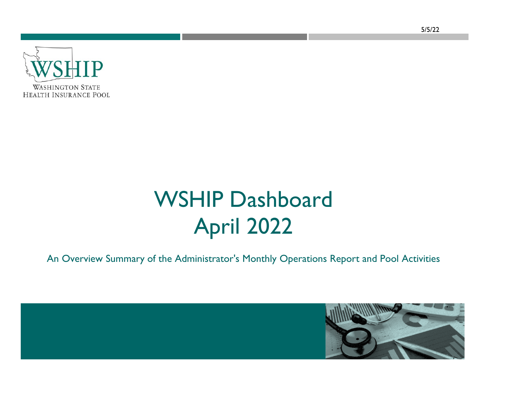

# WSHIP Dashboard April 2022

An Overview Summary of the Administrator's Monthly Operations Report and Pool Activities

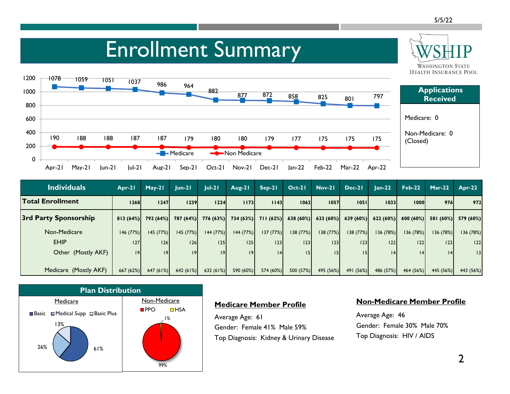**WASHINGTON STATE HEALTH INSURANCE POOL** 

### Enrollment Summary



| <b>Applications</b><br><b>Received</b> |  |  |  |  |  |  |  |  |
|----------------------------------------|--|--|--|--|--|--|--|--|
| Medicare: 0                            |  |  |  |  |  |  |  |  |
| Non-Medicare: 0<br>(Closed)            |  |  |  |  |  |  |  |  |
|                                        |  |  |  |  |  |  |  |  |

| <b>Individuals</b>      | Apr-21   | $May-21$  | $ un-2 $            | $ ul-2 $  | Aug-21    | Sep-21   | $Oct-21$ | $Nov-21$  | Dec-21                                                                          | $Jan-22$  | $Feb-22$  | $Mar-22$  | <b>Apr-22</b> |
|-------------------------|----------|-----------|---------------------|-----------|-----------|----------|----------|-----------|---------------------------------------------------------------------------------|-----------|-----------|-----------|---------------|
| <b>Total Enrollment</b> | 1268     | 1247      | 1239                | 1224      | 1173      | 1143     | 1062     | 1057      | 1051                                                                            | 1033      | 1000      | 976       | 972           |
| 3rd Party Sponsorship   | 813(64%) |           | 792 (64%) 787 (64%) |           |           |          |          |           | 776 (63%) 734 (63%) 711 (62%) 638 (60%) 633 (60%) 629 (60%) 622 (60%) 600 (60%) |           |           | 581 (60%) | 579 (60%)     |
| Non-Medicare            | 146(77%) | 145(77%)  | 145 (77%)           | 144 (77%) | 144 (77%) | 137(77%) | 138(77%) | 138(77%)  | 138(77%)                                                                        | 136 (78%) | 136 (78%) | 136 (78%) | 136 (78%)     |
| <b>EHIP</b>             | 127      | 26        | 126                 | 25        | 125       | 123      | 123      | 123       | 123                                                                             | 22        | 22        | 122       | 122           |
| Other (Mostly AKF)      | 9        | 9         | 9                   | 9         | 9         | 4        |          | 15        | 15 <sub>1</sub>                                                                 | 4         | 14        | 4         | 13            |
|                         |          |           |                     |           |           |          |          |           |                                                                                 |           |           |           |               |
| Medicare (Mostly AKF)   | 667(62%) | 647 (61%) | 642 (61%)           | 632(61%)  | 590 (60%) | 574(60%) | 500(57%) | 495 (56%) | 491 (56%)                                                                       | 486 (57%) | 464 (56%) | 445 (56%) | 443 (56%)     |



### **Medicare Member Profile**

Average Age: 61 Gender: Female 41% Male 59% Top Diagnosis: Kidney & Urinary Disease

#### **Non-Medicare Member Profile**

Average Age: 46 Gender: Female 30% Male 70% Top Diagnosis: HIV / AIDS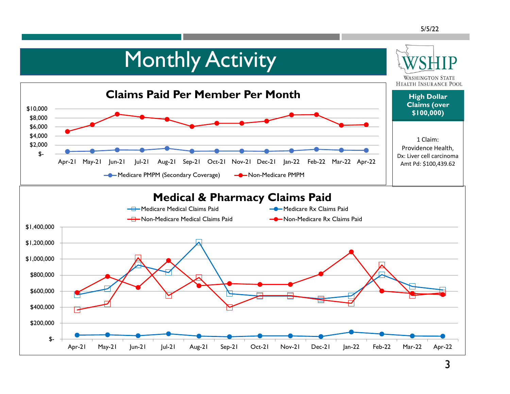### **Monthly Activity WASHINGTON STATE HEALTH INSURANCE POOL Claims Paid Per Member Per Month High Dollar Claims (over**  \$10,000 **\$100,000)** \$8,000 \$6,000 \$4,000 1 Claim: \$2,000 Providence Health,  $$-$ Dx: Liver cell carcinoma Apr-21 May-21 Jun-21 Jul-21 Aug-21 Sep-21 Oct-21 Nov-21 Dec-21 Jan-22 Feb-22 Mar-22 Apr-22 Amt Pd: \$100,439.62——• Medicare PMPM (Secondary Coverage) — • Non-Medicare PMPM **Medical & Pharmacy Claims Paid H**-Medicare Medical Claims Paid **Medicare Rx Claims Paid** Medicare Rx Claims Paid **-A**-Non-Medicare Medical Claims Paid **-** - Non-Medicare Rx Claims Paid \$1,400,000 \$1,200,000 \$1,000,000 \$800,000 \$600,000 \$400,000 \$200,000 \$- Apr-21 May-21 Jun-21 Jul-21 Aug-21 Sep-21 Oct-21 Nov-21 Dec-21 Jan-22 Feb-22 Mar-22 Apr-22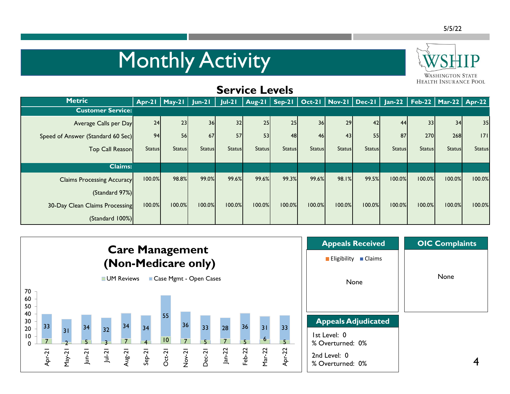# **Monthly Activity**



#### **HEALTH INSURANCE POOL Service Levels Metric Apr-21 May-21 Jun-21 Jul-21 Aug-21 Sep-21 Oct-21 Nov-21 Dec-21 Jan-22 Feb-22 Mar-22 Apr-22 Customer Service:**  Average Calls per Day 24 23 36 32 25 25 36 29 42 44 33 34 35 Speed of Answer (Standard 60 Sec) 94 56 67 57 53 48 46 43 55 87 270 268 171 Top Call Reason Status| Status| Status| Status| Status| Status| Status| Status| Status| Status| Status| Status| Status| Status **Claims:**  Claims Processing Accuracy 100.0% 98.8% 99.0% 99.6% 99.6% 99.3% 99.6% 98.1% 99.5% 100.0% 100.0% 100.0% 100.0% (Standard 97%) 30-Day Clean Claims Processing 100.0% 100.0% 100.0% 100.0% 100.0% 100.0% 100.0% 100.0% 100.0% 100.0% 100.0% 100.0% 100.0% (Standard 100%)